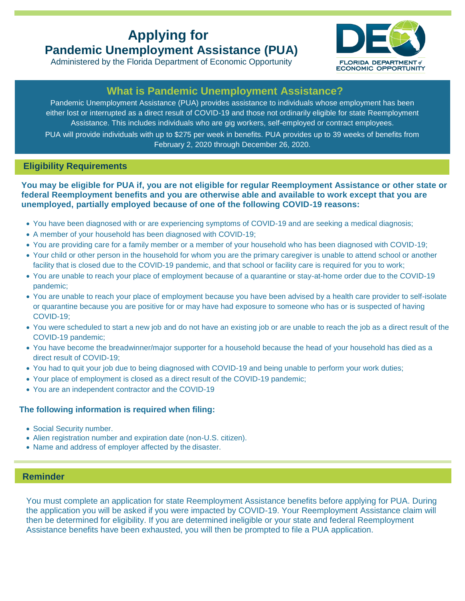# **Applying for Pandemic Unemployment Assistance (PUA)**





## **What is Pandemic Unemployment Assistance?**

Pandemic Unemployment Assistance (PUA) provides assistance to individuals whose employment has been either lost or interrupted as a direct result of COVID-19 and those not ordinarily eligible for state Reemployment Assistance. This includes individuals who are gig workers, self-employed or contract employees. PUA will provide individuals with up to \$275 per week in benefits. PUA provides up to 39 weeks of benefits from February 2, 2020 through December 26, 2020.

### **Eligibility Requirements**

#### **You may be eligible for PUA if, you are not eligible for regular Reemployment Assistance or other state or federal Reemployment benefits and you are otherwise able and available to work except that you are unemployed, partially employed because of one of the following COVID-19 reasons:**

- You have been diagnosed with or are experiencing symptoms of COVID-19 and are seeking a medical diagnosis;
- A member of your household has been diagnosed with COVID-19;
- You are providing care for a family member or a member of your household who has been diagnosed with COVID-19;
- Your child or other person in the household for whom you are the primary caregiver is unable to attend school or another facility that is closed due to the COVID-19 pandemic, and that school or facility care is required for you to work;
- You are unable to reach your place of employment because of a quarantine or stay-at-home order due to the COVID-19 pandemic;
- You are unable to reach your place of employment because you have been advised by a health care provider to self-isolate or quarantine because you are positive for or may have had exposure to someone who has or is suspected of having COVID-19;
- You were scheduled to start a new job and do not have an existing job or are unable to reach the job as a direct result of the COVID-19 pandemic;
- You have become the breadwinner/major supporter for a household because the head of your household has died as a direct result of COVID-19;
- You had to quit your job due to being diagnosed with COVID-19 and being unable to perform your work duties;
- Your place of employment is closed as a direct result of the COVID-19 pandemic;
- You are an independent contractor and the COVID-19

### **The following information is required when filing:**

- Social Security number.
- Alien registration number and expiration date (non-U.S. citizen).
- Name and address of employer affected by the disaster.

## **Reminder: Reminder**

You must complete an application for state Reemployment Assistance benefits before applying for PUA. During the application you will be asked if you were impacted by COVID-19. Your Reemployment Assistance claim will then be determined for eligibility. If you are determined ineligible or your state and federal Reemployment Assistance benefits have been exhausted, you will then be prompted to file a PUA application.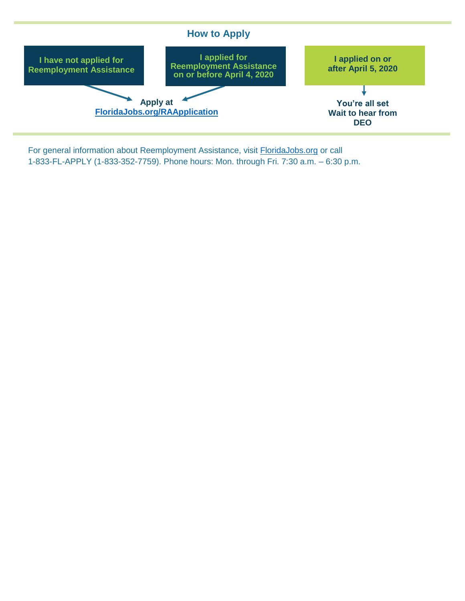

For general information about Reemployment Assistance, visit [FloridaJobs.org](http://www.floridajobs.org/) or call 1-833-FL-APPLY (1-833-352-7759). Phone hours: Mon. through Fri. 7:30 a.m. – 6:30 p.m.